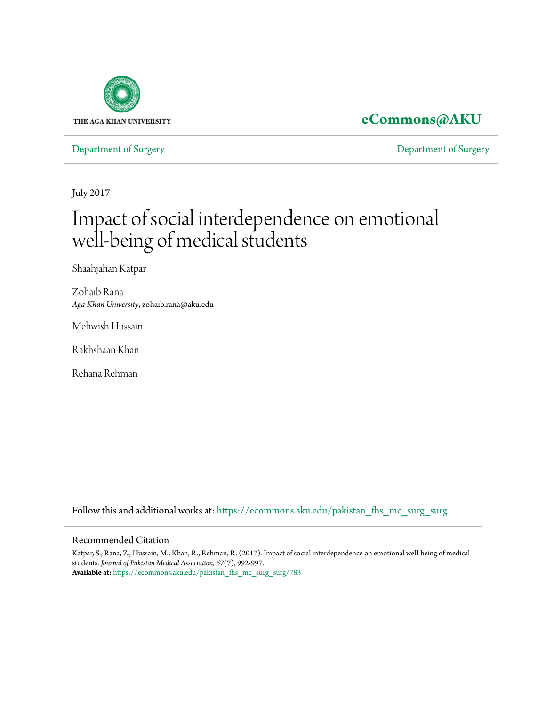

# **[eCommons@AKU](https://ecommons.aku.edu/?utm_source=ecommons.aku.edu%2Fpakistan_fhs_mc_surg_surg%2F783&utm_medium=PDF&utm_campaign=PDFCoverPages)**

[Department of Surgery](https://ecommons.aku.edu/pakistan_fhs_mc_surg_surg?utm_source=ecommons.aku.edu%2Fpakistan_fhs_mc_surg_surg%2F783&utm_medium=PDF&utm_campaign=PDFCoverPages) [Department of Surgery](https://ecommons.aku.edu/pakistan_fhs_mc_surg?utm_source=ecommons.aku.edu%2Fpakistan_fhs_mc_surg_surg%2F783&utm_medium=PDF&utm_campaign=PDFCoverPages)

July 2017

# Impact of social interdependence on emotional well-being of medical students

Shaahjahan Katpar

Zohaib Rana *Aga Khan University*, zohaib.rana@aku.edu

Mehwish Hussain

Rakhshaan Khan

Rehana Rehman

Follow this and additional works at: [https://ecommons.aku.edu/pakistan\\_fhs\\_mc\\_surg\\_surg](https://ecommons.aku.edu/pakistan_fhs_mc_surg_surg?utm_source=ecommons.aku.edu%2Fpakistan_fhs_mc_surg_surg%2F783&utm_medium=PDF&utm_campaign=PDFCoverPages)

## Recommended Citation

Katpar, S., Rana, Z., Hussain, M., Khan, R., Rehman, R. (2017). Impact of social interdependence on emotional well-being of medical students. *Journal of Pakistan Medical Association, 67*(7), 992-997. **Available at:** [https://ecommons.aku.edu/pakistan\\_fhs\\_mc\\_surg\\_surg/783](https://ecommons.aku.edu/pakistan_fhs_mc_surg_surg/783)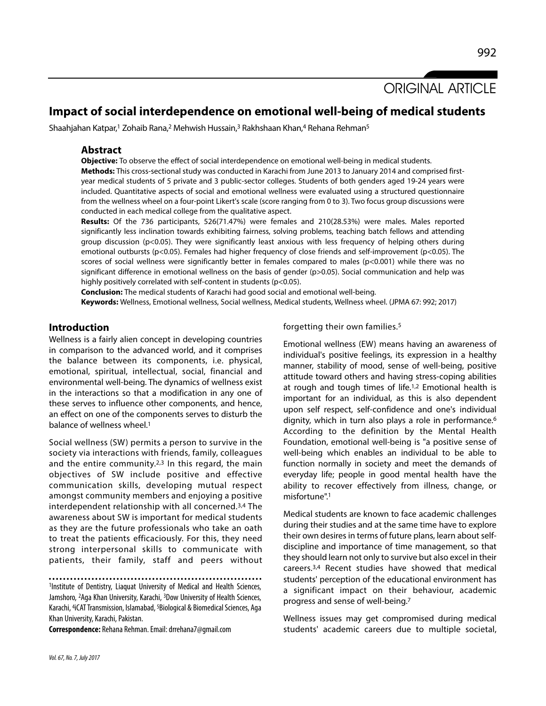# ORIGINAL ARTICLE

# **Impact of social interdependence on emotional well-being of medical students**

Shaahjahan Katpar,<sup>1</sup> Zohaib Rana,<sup>2</sup> Mehwish Hussain,<sup>3</sup> Rakhshaan Khan,<sup>4</sup> Rehana Rehman<sup>5</sup>

### **Abstract**

**Objective:** To observe the effect of social interdependence on emotional well-being in medical students.

**Methods:** This cross-sectional study was conducted in Karachi from June 2013 to January 2014 and comprised firstyear medical students of 5 private and 3 public-sector colleges. Students of both genders aged 19-24 years were included. Quantitative aspects of social and emotional wellness were evaluated using a structured questionnaire from the wellness wheel on a four-point Likert's scale (score ranging from 0 to 3). Two focus group discussions were conducted in each medical college from the qualitative aspect.

**Results:** Of the 736 participants, 526(71.47%) were females and 210(28.53%) were males. Males reported significantly less inclination towards exhibiting fairness, solving problems, teaching batch fellows and attending group discussion (p<0.05). They were significantly least anxious with less frequency of helping others during emotional outbursts (p<0.05). Females had higher frequency of close friends and self-improvement (p<0.05). The scores of social wellness were significantly better in females compared to males (p<0.001) while there was no significant difference in emotional wellness on the basis of gender (p>0.05). Social communication and help was highly positively correlated with self-content in students (p<0.05).

**Conclusion:** The medical students of Karachi had good social and emotional well-being. **Keywords:** Wellness, Emotional wellness, Social wellness, Medical students, Wellness wheel. (JPMA 67: 992; 2017)

# **Introduction**

Wellness is a fairly alien concept in developing countries in comparison to the advanced world, and it comprises the balance between its components, i.e. physical, emotional, spiritual, intellectual, social, financial and environmental well-being. The dynamics of wellness exist in the interactions so that a modification in any one of these serves to influence other components, and hence, an effect on one of the components serves to disturb the balance of wellness wheel.<sup>1</sup>

Social wellness (SW) permits a person to survive in the society via interactions with friends, family, colleagues and the entire community.<sup>2,3</sup> In this regard, the main objectives of SW include positive and effective communication skills, developing mutual respect amongst community members and enjoying a positive interdependent relationship with all concerned.3,4 The awareness about SW is important for medical students as they are the future professionals who take an oath to treat the patients efficaciously. For this, they need strong interpersonal skills to communicate with patients, their family, staff and peers without

1Institute of Dentistry, Liaquat University of Medical and Health Sciences, Jamshoro, <sup>2</sup>Aga Khan University, Karachi, <sup>3</sup>Dow University of Health Sciences, Karachi, <sup>4</sup> iCAT Transmission, Islamabad, <sup>5</sup>Biological & Biomedical Sciences, Aga Khan University, Karachi, Pakistan.

**Correspondence:** Rehana Rehman. Email: drrehana7@gmail.com

forgetting their own families.<sup>5</sup>

Emotional wellness (EW) means having an awareness of individual's positive feelings, its expression in a healthy manner, stability of mood, sense of well-being, positive attitude toward others and having stress-coping abilities at rough and tough times of life.1,2 Emotional health is important for an individual, as this is also dependent upon self respect, self-confidence and one's individual dignity, which in turn also plays a role in performance.<sup>6</sup> According to the definition by the Mental Health Foundation, emotional well-being is "a positive sense of well-being which enables an individual to be able to function normally in society and meet the demands of everyday life; people in good mental health have the ability to recover effectively from illness, change, or misfortune".<sup>1</sup>

Medical students are known to face academic challenges during their studies and at the same time have to explore their own desires in terms of future plans, learn about selfdiscipline and importance of time management, so that they should learn not only to survive but also excel in their careers.3,4 Recent studies have showed that medical students' perception of the educational environment has a significant impact on their behaviour, academic progress and sense of well-being.<sup>7</sup>

Wellness issues may get compromised during medical students' academic careers due to multiple societal,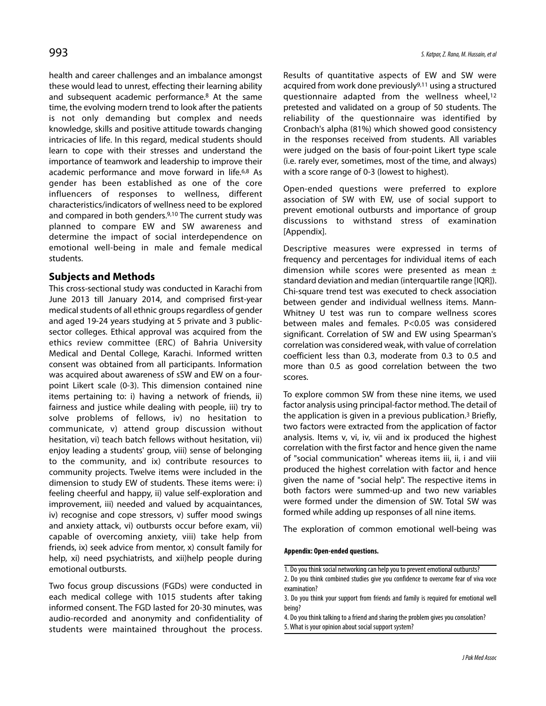health and career challenges and an imbalance amongst these would lead to unrest, effecting their learning ability and subsequent academic performance.<sup>8</sup> At the same time, the evolving modern trend to look after the patients is not only demanding but complex and needs knowledge, skills and positive attitude towards changing intricacies of life. In this regard, medical students should learn to cope with their stresses and understand the importance of teamwork and leadership to improve their academic performance and move forward in life.6,8 As gender has been established as one of the core influencers of responses to wellness, different characteristics/indicators of wellness need to be explored and compared in both genders.<sup>9,10</sup> The current study was planned to compare EW and SW awareness and determine the impact of social interdependence on emotional well-being in male and female medical students.

# **Subjects and Methods**

This cross-sectional study was conducted in Karachi from June 2013 till January 2014, and comprised first-year medical students of all ethnic groups regardless of gender and aged 19-24 years studying at 5 private and 3 publicsector colleges. Ethical approval was acquired from the ethics review committee (ERC) of Bahria University Medical and Dental College, Karachi. Informed written consent was obtained from all participants. Information was acquired about awareness of sSW and EW on a fourpoint Likert scale (0-3). This dimension contained nine items pertaining to: i) having a network of friends, ii) fairness and justice while dealing with people, iii) try to solve problems of fellows, iv) no hesitation to communicate, v) attend group discussion without hesitation, vi) teach batch fellows without hesitation, vii) enjoy leading a students' group, viii) sense of belonging to the community, and ix) contribute resources to community projects. Twelve items were included in the dimension to study EW of students. These items were: i) feeling cheerful and happy, ii) value self-exploration and improvement, iii) needed and valued by acquaintances, iv) recognise and cope stressors, v) suffer mood swings and anxiety attack, vi) outbursts occur before exam, vii) capable of overcoming anxiety, viii) take help from friends, ix) seek advice from mentor, x) consult family for help, xi) need psychiatrists, and xii)help people during emotional outbursts.

Two focus group discussions (FGDs) were conducted in each medical college with 1015 students after taking informed consent. The FGD lasted for 20-30 minutes, was audio-recorded and anonymity and confidentiality of students were maintained throughout the process. Results of quantitative aspects of EW and SW were acquired from work done previously9,11 using a structured questionnaire adapted from the wellness wheel,<sup>12</sup> pretested and validated on a group of 50 students. The reliability of the questionnaire was identified by Cronbach's alpha (81%) which showed good consistency in the responses received from students. All variables were judged on the basis of four-point Likert type scale (i.e. rarely ever, sometimes, most of the time, and always) with a score range of 0-3 (lowest to highest).

Open-ended questions were preferred to explore association of SW with EW, use of social support to prevent emotional outbursts and importance of group discussions to withstand stress of examination [Appendix].

Descriptive measures were expressed in terms of frequency and percentages for individual items of each dimension while scores were presented as mean  $\pm$ standard deviation and median (interquartile range [IQR]). Chi-square trend test was executed to check association between gender and individual wellness items. Mann-Whitney U test was run to compare wellness scores between males and females. P<0.05 was considered significant. Correlation of SW and EW using Spearman's correlation was considered weak, with value of correlation coefficient less than 0.3, moderate from 0.3 to 0.5 and more than 0.5 as good correlation between the two scores.

To explore common SW from these nine items, we used factor analysis using principal-factor method. The detail of the application is given in a previous publication.<sup>3</sup> Briefly, two factors were extracted from the application of factor analysis. Items v, vi, iv, vii and ix produced the highest correlation with the first factor and hence given the name of "social communication" whereas items iii, ii, i and viii produced the highest correlation with factor and hence given the name of "social help". The respective items in both factors were summed-up and two new variables were formed under the dimension of SW. Total SW was formed while adding up responses of all nine items.

The exploration of common emotional well-being was

#### **Appendix: Open-ended questions.**

<sup>1.</sup> Do you think social networking can help you to prevent emotional outbursts?

<sup>2.</sup> Do you think combined studies give you confidence to overcome fear of viva voce examination?

<sup>3.</sup> Do you think your support from friends and family is required for emotional well being?

<sup>4.</sup> Do you think talking to a friend and sharing the problem gives you consolation? 5. What is your opinion about social support system?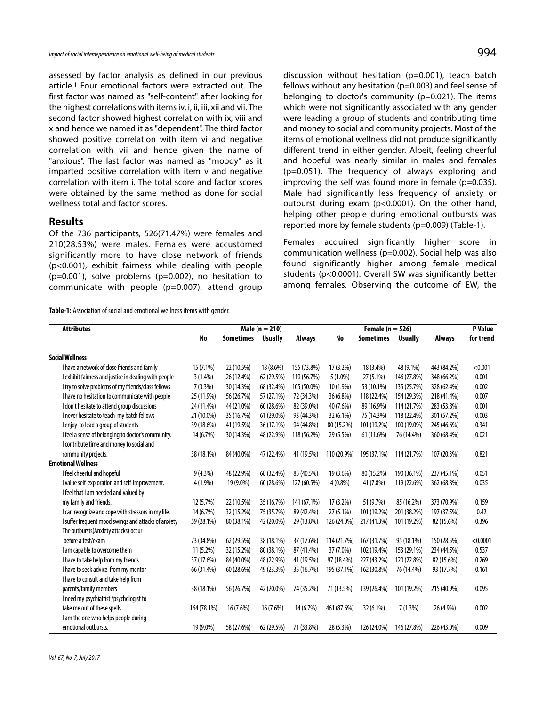assessed by factor analysis as defined in our previous article.<sup>1</sup> Four emotional factors were extracted out. The first factor was named as "self-content" after looking for the highest correlations with items iv, i, ii, iii, xii and vii. The second factor showed highest correlation with ix, viii and x and hence we named it as "dependent". The third factor showed positive correlation with item vi and negative correlation with vii and hence given the name of "anxious". The last factor was named as "moody" as it imparted positive correlation with item v and negative correlation with item i. The total score and factor scores were obtained by the same method as done for social wellness total and factor scores.

# **Results**

Of the 736 participants, 526(71.47%) were females and 210(28.53%) were males. Females were accustomed significantly more to have close network of friends (p<0.001), exhibit fairness while dealing with people  $(p=0.001)$ , solve problems  $(p=0.002)$ , no hesitation to communicate with people (p=0.007), attend group

**Table-1:** Association of social and emotional wellness items with gender.

discussion without hesitation (p=0.001), teach batch fellows without any hesitation (p=0.003) and feel sense of belonging to doctor's community (p=0.021). The items which were not significantly associated with any gender were leading a group of students and contributing time and money to social and community projects. Most of the items of emotional wellness did not produce significantly different trend in either gender. Albeit, feeling cheerful and hopeful was nearly similar in males and females (p=0.051). The frequency of always exploring and improving the self was found more in female  $(p=0.035)$ . Male had significantly less frequency of anxiety or outburst during exam (p<0.0001). On the other hand, helping other people during emotional outbursts was reported more by female students (p=0.009) (Table-1).

Females acquired significantly higher score in communication wellness (p=0.002). Social help was also found significantly higher among female medical students (p<0.0001). Overall SW was significantly better among females. Observing the outcome of EW, the

| <b>Attributes</b>                                     | Male ( $n = 210$ ) |                  |                | Female ( $n = 526$ ) |             |                  | <b>P</b> Value |               |           |
|-------------------------------------------------------|--------------------|------------------|----------------|----------------------|-------------|------------------|----------------|---------------|-----------|
|                                                       | No                 | <b>Sometimes</b> | <b>Usually</b> | <b>Always</b>        | No          | <b>Sometimes</b> | <b>Usually</b> | <b>Always</b> | for trend |
| <b>Social Wellness</b>                                |                    |                  |                |                      |             |                  |                |               |           |
| I have a network of close friends and family          | 15 (7.1%)          | 22 (10.5%)       | 18 (8.6%)      | 155 (73.8%)          | $17(3.2\%)$ | 18 (3.4%)        | 48 (9.1%)      | 443 (84.2%)   | < 0.001   |
| I exhibit fairness and justice in dealing with people | 3(1.4%)            | 26 (12.4%)       | 62 (29.5%)     | 119 (56.7%)          | $5(1.0\%)$  | $27(5.1\%)$      | 146 (27.8%)    | 348 (66.2%)   | 0.001     |
| I try to solve problems of my friends/class fellows   | $7(3.3\%)$         | 30 (14.3%)       | 68 (32.4%)     | 105 (50.0%)          | 10 (1.9%)   | 53 (10.1%)       | 135 (25.7%)    | 328 (62.4%)   | 0.002     |
| I have no hesitation to communicate with people       | 25 (11.9%)         | 56 (26.7%)       | 57 (27.1%)     | 72 (34.3%)           | 36 (6.8%)   | 118 (22.4%)      | 154 (29.3%)    | 218 (41.4%)   | 0.007     |
| I don't hesitate to attend group discussions          | 24 (11.4%)         | 44 (21.0%)       | 60 (28.6%)     | 82 (39.0%)           | 40 (7.6%)   | 89 (16.9%)       | 114 (21.7%)    | 283 (53.8%)   | 0.001     |
| I never hesitate to teach my batch fellows            | 21 (10.0%)         | 35 (16.7%)       | 61 (29.0%)     | 93 (44.3%)           | 32 (6.1%)   | 75 (14.3%)       | 118 (22.4%)    | 301 (57.2%)   | 0.003     |
| I enjoy to lead a group of students                   | 39 (18.6%)         | 41 (19.5%)       | 36 (17.1%)     | 94 (44.8%)           | 80 (15.2%)  | 101 (19.2%)      | 100 (19.0%)    | 245 (46.6%)   | 0.341     |
| I feel a sense of belonging to doctor's community.    | 14 (6.7%)          | 30 (14.3%)       | 48 (22.9%)     | 118 (56.2%)          | 29 (5.5%)   | 61 (11.6%)       | 76 (14.4%)     | 360 (68.4%)   | 0.021     |
| I contribute time and money to social and             |                    |                  |                |                      |             |                  |                |               |           |
| community projects.                                   | 38 (18.1%)         | 84 (40.0%)       | 47 (22.4%)     | 41 (19.5%)           | 110 (20.9%) | 195 (37.1%)      | 114 (21.7%)    | 107 (20.3%)   | 0.821     |
| <b>Emotional Wellness</b>                             |                    |                  |                |                      |             |                  |                |               |           |
| I feel cheerful and hopeful                           | $9(4.3\%)$         | 48 (22.9%)       | 68 (32.4%)     | 85 (40.5%)           | 19 (3.6%)   | 80 (15.2%)       | 190 (36.1%)    | 237 (45.1%)   | 0.051     |
| I value self-exploration and self-improvement.        | 4(1.9%             | 19 (9.0%)        | 60 (28.6%)     | 127 (60.5%)          | $4(0.8\%)$  | 41 (7.8%)        | 119 (22.6%)    | 362 (68.8%)   | 0.035     |
| I feel that I am needed and valued by                 |                    |                  |                |                      |             |                  |                |               |           |
| my family and friends.                                | 12 (5.7%)          | 22 (10.5%)       | 35 (16.7%)     | 141 (67.1%)          | 17 (3.2%)   | 51 (9.7%)        | 85 (16.2%)     | 373 (70.9%)   | 0.159     |
| I can recognize and cope with stressors in my life.   | 14 (6.7%)          | 32 (15.2%)       | 75 (35.7%)     | 89 (42.4%)           | 27 (5.1%)   | 101 (19.2%)      | 201 (38.2%)    | 197 (37.5%)   | 0.42      |
| I suffer frequent mood swings and attacks of anxiety  | 59 (28.1%)         | 80 (38.1%)       | 42 (20.0%)     | 29 (13.8%)           | 126 (24.0%) | 217 (41.3%)      | 101 (19.2%)    | 82 (15.6%)    | 0.396     |
| The outbursts(Anxiety attacks) occur                  |                    |                  |                |                      |             |                  |                |               |           |
| before a test/exam                                    | 73 (34.8%)         | 62 (29.5%)       | 38 (18.1%)     | 37 (17.6%)           | 114 (21.7%) | 167 (31.7%)      | 95 (18.1%)     | 150 (28.5%)   | < 0.0001  |
| I am capable to overcome them                         | $11(5.2\%)$        | 32 (15.2%)       | 80 (38.1%)     | 87 (41.4%)           | 37 (7.0%)   | 102 (19.4%)      | 153 (29.1%)    | 234 (44.5%)   | 0.537     |
| I have to take help from my friends                   | 37 (17.6%)         | 84 (40.0%)       | 48 (22.9%)     | 41 (19.5%)           | 97 (18.4%)  | 227 (43.2%)      | 120 (22.8%)    | 82 (15.6%)    | 0.269     |
| I have to seek advice from my mentor                  | 66 (31.4%)         | 60 (28.6%)       | 49 (23.3%)     | 35 (16.7%)           | 195 (37.1%) | 162 (30.8%)      | 76 (14.4%)     | 93 (17.7%)    | 0.161     |
| I have to consult and take help from                  |                    |                  |                |                      |             |                  |                |               |           |
| parents/family members                                | 38 (18.1%)         | 56 (26.7%)       | 42 (20.0%)     | 74 (35.2%)           | 71 (13.5%)  | 139 (26.4%)      | 101 (19.2%)    | 215 (40.9%)   | 0.095     |
| I need my psychiatrist /psychologist to               |                    |                  |                |                      |             |                  |                |               |           |
| take me out of these spells                           | 164 (78.1%)        | 16 (7.6%)        | 16 (7.6%)      | 14 (6.7%)            | 461 (87.6%) | 32 (6.1%)        | $7(1.3\%)$     | 26 (4.9%)     | 0.002     |
| I am the one who helps people during                  |                    |                  |                |                      |             |                  |                |               |           |
| emotional outbursts.                                  | 19 (9.0%)          | 58 (27.6%)       | 62 (29.5%)     | 71 (33.8%)           | 28 (5.3%)   | 126 (24.0%)      | 146 (27.8%)    | 226 (43.0%)   | 0.009     |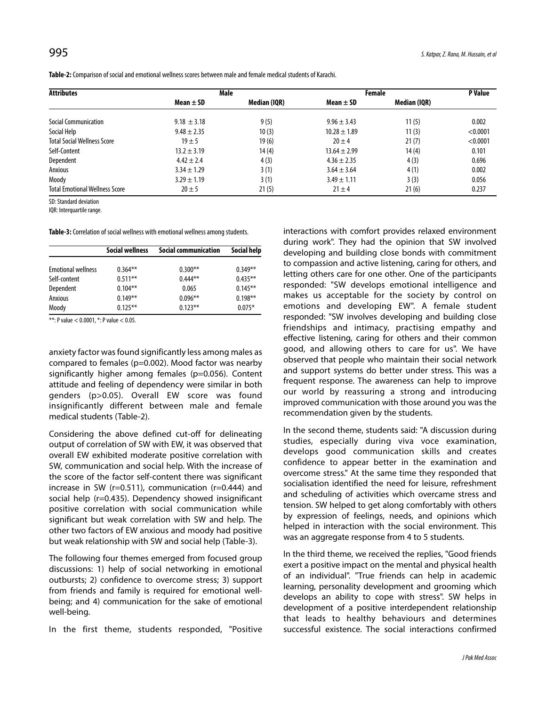| <b>Attributes</b>                     |                 | Male         | Female           | P Value      |          |
|---------------------------------------|-----------------|--------------|------------------|--------------|----------|
|                                       | Mean $\pm$ SD   | Median (IOR) | Mean $\pm$ SD    | Median (IQR) |          |
| <b>Social Communication</b>           | $9.18 \pm 3.18$ | 9(5)         | $9.96 \pm 3.43$  | 11(5)        | 0.002    |
| Social Help                           | $9.48 \pm 2.35$ | 10(3)        | $10.28 \pm 1.89$ | 11(3)        | < 0.0001 |
| <b>Total Social Wellness Score</b>    | $19 + 5$        | 19(6)        | $20 \pm 4$       | 21(7)        | < 0.0001 |
| Self-Content                          | $13.2 \pm 3.19$ | 14(4)        | $13.64 \pm 2.99$ | 14(4)        | 0.101    |
| Dependent                             | $4.42 \pm 2.4$  | 4(3)         | $4.36 \pm 2.35$  | 4(3)         | 0.696    |
| Anxious                               | $3.34 \pm 1.29$ | 3(1)         | $3.64 \pm 3.64$  | 4(1)         | 0.002    |
| Moody                                 | $3.29 \pm 1.19$ | 3(1)         | $3.49 \pm 1.11$  | 3(3)         | 0.056    |
| <b>Total Emotional Wellness Score</b> | $20 \pm 5$      | 21(5)        | $21 \pm 4$       | 21(6)        | 0.237    |

**Table-2:** Comparison of social and emotional wellness scores between male and female medical students of Karachi.

SD: Standard deviation

IQR: Interquartile range.

**Table-3:** Correlation of social wellness with emotional wellness among students.

|                           | <b>Social wellness</b> | Social communication | Social help |  |
|---------------------------|------------------------|----------------------|-------------|--|
| <b>Emotional wellness</b> | $0.364**$              | $0.300**$            | $0.349**$   |  |
| Self-content              | $0.511**$              | $0.444***$           | $0.435***$  |  |
| Dependent                 | $0.104***$             | 0.065                | $0.145***$  |  |
| Anxious                   | $0.149**$              | $0.096***$           | $0.198**$   |  |
| Moody                     | $0.125***$             | $0.123**$            | $0.075*$    |  |

\*\*: P value < 0.0001, \*: P value < 0.05.

anxiety factor was found significantly less among males as compared to females (p=0.002). Mood factor was nearby significantly higher among females (p=0.056). Content attitude and feeling of dependency were similar in both genders (p>0.05). Overall EW score was found insignificantly different between male and female medical students (Table-2).

Considering the above defined cut-off for delineating output of correlation of SW with EW, it was observed that overall EW exhibited moderate positive correlation with SW, communication and social help. With the increase of the score of the factor self-content there was significant increase in SW (r=0.511), communication (r=0.444) and social help (r=0.435). Dependency showed insignificant positive correlation with social communication while significant but weak correlation with SW and help. The other two factors of EW anxious and moody had positive but weak relationship with SW and social help (Table-3).

The following four themes emerged from focused group discussions: 1) help of social networking in emotional outbursts; 2) confidence to overcome stress; 3) support from friends and family is required for emotional wellbeing; and 4) communication for the sake of emotional well-being.

In the first theme, students responded, "Positive

interactions with comfort provides relaxed environment during work". They had the opinion that SW involved developing and building close bonds with commitment to compassion and active listening, caring for others, and letting others care for one other. One of the participants responded: "SW develops emotional intelligence and makes us acceptable for the society by control on emotions and developing EW". A female student responded: "SW involves developing and building close friendships and intimacy, practising empathy and effective listening, caring for others and their common good, and allowing others to care for us". We have observed that people who maintain their social network and support systems do better under stress. This was a frequent response. The awareness can help to improve our world by reassuring a strong and introducing improved communication with those around you was the recommendation given by the students.

In the second theme, students said: "A discussion during studies, especially during viva voce examination, develops good communication skills and creates confidence to appear better in the examination and overcome stress." At the same time they responded that socialisation identified the need for leisure, refreshment and scheduling of activities which overcame stress and tension. SW helped to get along comfortably with others by expression of feelings, needs, and opinions which helped in interaction with the social environment. This was an aggregate response from 4 to 5 students.

In the third theme, we received the replies, "Good friends exert a positive impact on the mental and physical health of an individual". "True friends can help in academic learning, personality development and grooming which develops an ability to cope with stress". SW helps in development of a positive interdependent relationship that leads to healthy behaviours and determines successful existence. The social interactions confirmed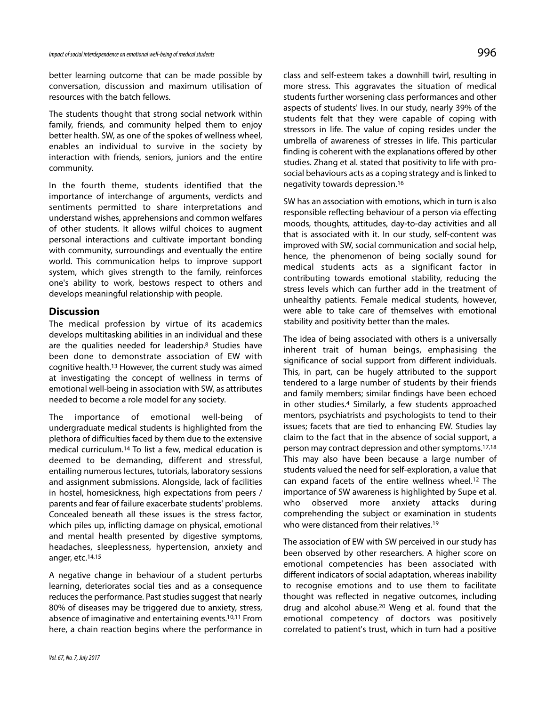better learning outcome that can be made possible by conversation, discussion and maximum utilisation of resources with the batch fellows.

The students thought that strong social network within family, friends, and community helped them to enjoy better health. SW, as one of the spokes of wellness wheel, enables an individual to survive in the society by interaction with friends, seniors, juniors and the entire community.

In the fourth theme, students identified that the importance of interchange of arguments, verdicts and sentiments permitted to share interpretations and understand wishes, apprehensions and common welfares of other students. It allows wilful choices to augment personal interactions and cultivate important bonding with community, surroundings and eventually the entire world. This communication helps to improve support system, which gives strength to the family, reinforces one's ability to work, bestows respect to others and develops meaningful relationship with people.

# **Discussion**

The medical profession by virtue of its academics develops multitasking abilities in an individual and these are the qualities needed for leadership.<sup>8</sup> Studies have been done to demonstrate association of EW with cognitive health.<sup>13</sup> However, the current study was aimed at investigating the concept of wellness in terms of emotional well-being in association with SW, as attributes needed to become a role model for any society.

The importance of emotional well-being of undergraduate medical students is highlighted from the plethora of difficulties faced by them due to the extensive medical curriculum.<sup>14</sup> To list a few, medical education is deemed to be demanding, different and stressful, entailing numerous lectures, tutorials, laboratory sessions and assignment submissions. Alongside, lack of facilities in hostel, homesickness, high expectations from peers / parents and fear of failure exacerbate students' problems. Concealed beneath all these issues is the stress factor, which piles up, inflicting damage on physical, emotional and mental health presented by digestive symptoms, headaches, sleeplessness, hypertension, anxiety and anger, etc.14,15

A negative change in behaviour of a student perturbs learning, deteriorates social ties and as a consequence reduces the performance. Past studies suggest that nearly 80% of diseases may be triggered due to anxiety, stress, absence of imaginative and entertaining events.10,11 From here, a chain reaction begins where the performance in

class and self-esteem takes a downhill twirl, resulting in more stress. This aggravates the situation of medical students further worsening class performances and other aspects of students' lives. In our study, nearly 39% of the students felt that they were capable of coping with stressors in life. The value of coping resides under the umbrella of awareness of stresses in life. This particular finding is coherent with the explanations offered by other studies. Zhang et al. stated that positivity to life with prosocial behaviours acts as a coping strategy and is linked to negativity towards depression.<sup>16</sup>

SW has an association with emotions, which in turn is also responsible reflecting behaviour of a person via effecting moods, thoughts, attitudes, day-to-day activities and all that is associated with it. In our study, self-content was improved with SW, social communication and social help, hence, the phenomenon of being socially sound for medical students acts as a significant factor in contributing towards emotional stability, reducing the stress levels which can further add in the treatment of unhealthy patients. Female medical students, however, were able to take care of themselves with emotional stability and positivity better than the males.

The idea of being associated with others is a universally inherent trait of human beings, emphasising the significance of social support from different individuals. This, in part, can be hugely attributed to the support tendered to a large number of students by their friends and family members; similar findings have been echoed in other studies.<sup>4</sup> Similarly, a few students approached mentors, psychiatrists and psychologists to tend to their issues; facets that are tied to enhancing EW. Studies lay claim to the fact that in the absence of social support, a person may contract depression and other symptoms.17,18 This may also have been because a large number of students valued the need for self-exploration, a value that can expand facets of the entire wellness wheel.<sup>12</sup> The importance of SW awareness is highlighted by Supe et al. who observed more anxiety attacks during comprehending the subject or examination in students who were distanced from their relatives.<sup>19</sup>

The association of EW with SW perceived in our study has been observed by other researchers. A higher score on emotional competencies has been associated with different indicators of social adaptation, whereas inability to recognise emotions and to use them to facilitate thought was reflected in negative outcomes, including drug and alcohol abuse.<sup>20</sup> Weng et al. found that the emotional competency of doctors was positively correlated to patient's trust, which in turn had a positive